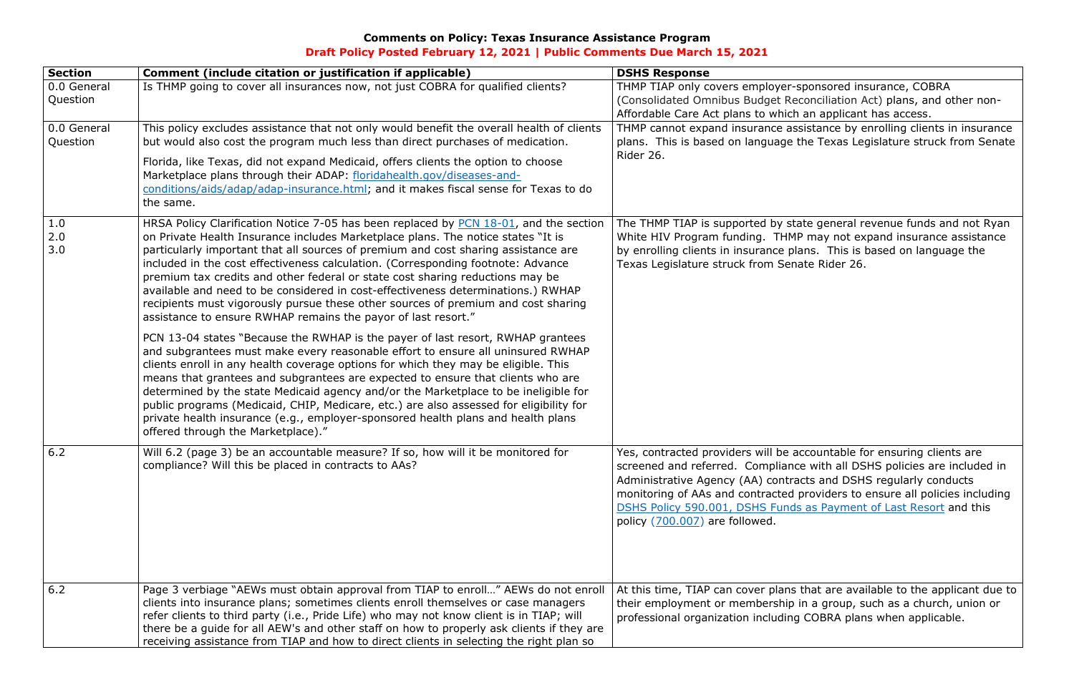## **Comments on Policy: Texas Insurance Assistance Program Draft Policy Posted February 12, 2021 | Public Comments Due March 15, 2021**

(Consolidated Omnibus Budget Reconciliation Act) plans, and other non-

THMP cannot expand insurance assistance by enrolling clients in insurance plans. This is based on language the Texas Legislature struck from Senate

## **Section Comment (include citation or justification if applicable) DSHS Response** 0.0 General Question Is THMP going to cover all insurances now, not just COBRA for qualified clients? THMP TIAP only covers employer-sponsored insurance, COBRA Affordable Care Act plans to which an applicant has access. 0.0 General Question This policy excludes assistance that not only would benefit the overall health of clients but would also cost the program much less than direct purchases of medication. Florida, like Texas, did not expand Medicaid, offers clients the option to choose Marketplace plans through their ADAP: [floridahealth.gov/diseases-and](http://www.floridahealth.gov/diseases-and-conditions/aids/adap/adap-insurance.html)[conditions/aids/adap/adap-insurance.html;](http://www.floridahealth.gov/diseases-and-conditions/aids/adap/adap-insurance.html) and it makes fiscal sense for Texas to do the same. Rider 26. 1.0 2.0 3.0 HRSA Policy Clarification Notice 7-05 has been replaced by [PCN 18-01,](https://hab.hrsa.gov/program-grants-management/policy-notices-and-program-letters) and the section on Private Health Insurance includes Marketplace plans. The notice states "It is particularly important that all sources of premium and cost sharing assistance are included in the cost effectiveness calculation. (Corresponding footnote: Advance premium tax credits and other federal or state cost sharing reductions may be available and need to be considered in cost-effectiveness determinations.) RWHAP recipients must vigorously pursue these other sources of premium and cost sharing assistance to ensure RWHAP remains the payor of last resort." PCN 13-04 states "Because the RWHAP is the payer of last resort, RWHAP grantees and subgrantees must make every reasonable effort to ensure all uninsured RWHAP clients enroll in any health coverage options for which they may be eligible. This means that grantees and subgrantees are expected to ensure that clients who are determined by the state Medicaid agency and/or the Marketplace to be ineligible for public programs (Medicaid, CHIP, Medicare, etc.) are also assessed for eligibility for private health insurance (e.g., employer-sponsored health plans and health plans offered through the Marketplace)." Texas Legislature struck from Senate Rider 26. 6.2 Will 6.2 (page 3) be an accountable measure? If so, how will it be monitored for compliance? Will this be placed in contracts to AAs? Yes, contracted providers will be accountable for ensuring clients are policy [\(700.007\)](https://www.dshs.texas.gov/hivstd/policy/policies/700-007.shtm) are followed. 6.2 Page 3 verbiage "AEWs must obtain approval from TIAP to enroll…" AEWs do not enroll clients into insurance plans; sometimes clients enroll themselves or case managers refer clients to third party (i.e., Pride Life) who may not know client is in TIAP; will there be a guide for all AEW's and other staff on how to properly ask clients if they are receiving assistance from TIAP and how to direct clients in selecting the right plan so

The THMP TIAP is supported by state general revenue funds and not Ryan White HIV Program funding. THMP may not expand insurance assistance by enrolling clients in insurance plans. This is based on language the

screened and referred. Compliance with all DSHS policies are included in Administrative Agency (AA) contracts and DSHS regularly conducts monitoring of AAs and contracted providers to ensure all policies including [DSHS Policy 590.001, DSHS Funds as Payment of Last Resort](https://www.dshs.texas.gov/hivstd/policy/policies/590-001.shtm) and this

At this time, TIAP can cover plans that are available to the applicant due to their employment or membership in a group, such as a church, union or professional organization including COBRA plans when applicable.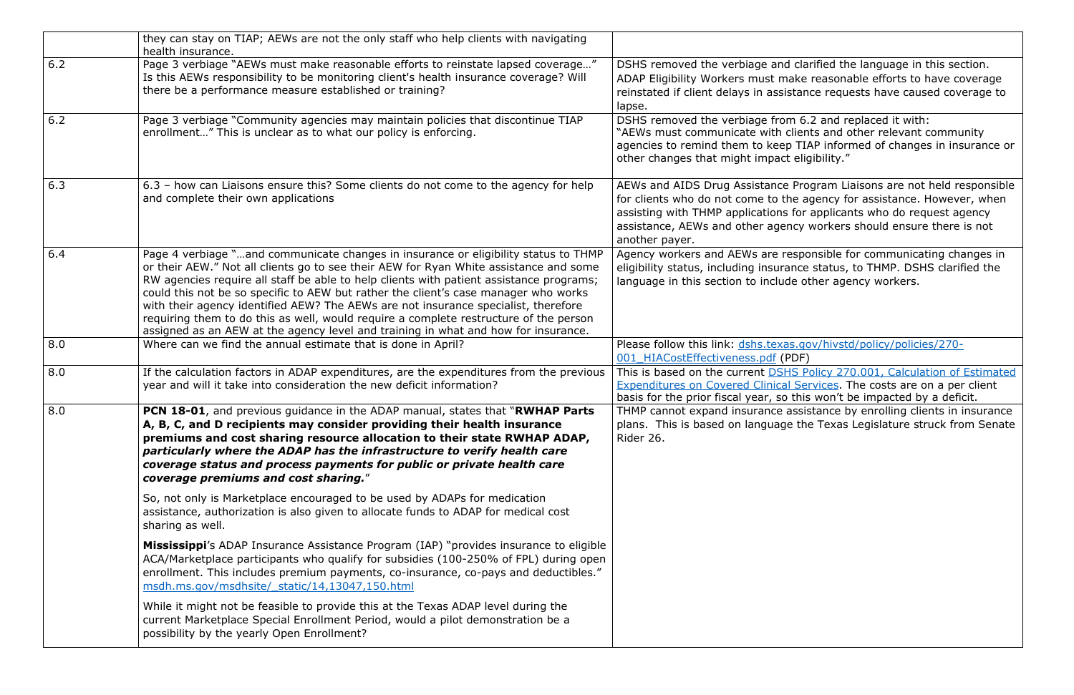|     | they can stay on TIAP; AEWs are not the only staff who help clients with navigating<br>health insurance.                                                                                                                                                                                                                                                                                                                                                                                                                                                                                                                            |                                                                                                                                                                          |
|-----|-------------------------------------------------------------------------------------------------------------------------------------------------------------------------------------------------------------------------------------------------------------------------------------------------------------------------------------------------------------------------------------------------------------------------------------------------------------------------------------------------------------------------------------------------------------------------------------------------------------------------------------|--------------------------------------------------------------------------------------------------------------------------------------------------------------------------|
| 6.2 | Page 3 verbiage "AEWs must make reasonable efforts to reinstate lapsed coverage"<br>Is this AEWs responsibility to be monitoring client's health insurance coverage? Will<br>there be a performance measure established or training?                                                                                                                                                                                                                                                                                                                                                                                                | DSHS removed the verbiage and cla<br>ADAP Eligibility Workers must make<br>reinstated if client delays in assistan<br>lapse.                                             |
| 6.2 | Page 3 verbiage "Community agencies may maintain policies that discontinue TIAP<br>enrollment" This is unclear as to what our policy is enforcing.                                                                                                                                                                                                                                                                                                                                                                                                                                                                                  | DSHS removed the verbiage from 6.<br>"AEWs must communicate with clien<br>agencies to remind them to keep TIA<br>other changes that might impact elig                    |
| 6.3 | 6.3 - how can Liaisons ensure this? Some clients do not come to the agency for help<br>and complete their own applications                                                                                                                                                                                                                                                                                                                                                                                                                                                                                                          | AEWs and AIDS Drug Assistance Pro<br>for clients who do not come to the a<br>assisting with THMP applications for<br>assistance, AEWs and other agency<br>another payer. |
| 6.4 | Page 4 verbiage "and communicate changes in insurance or eligibility status to THMP<br>or their AEW." Not all clients go to see their AEW for Ryan White assistance and some<br>RW agencies require all staff be able to help clients with patient assistance programs;<br>could this not be so specific to AEW but rather the client's case manager who works<br>with their agency identified AEW? The AEWs are not insurance specialist, therefore<br>requiring them to do this as well, would require a complete restructure of the person<br>assigned as an AEW at the agency level and training in what and how for insurance. | Agency workers and AEWs are respo<br>eligibility status, including insurance<br>language in this section to include of                                                   |
| 8.0 | Where can we find the annual estimate that is done in April?                                                                                                                                                                                                                                                                                                                                                                                                                                                                                                                                                                        | Please follow this link: dshs.texas.go<br>001 HIACostEffectiveness.pdf (PDF)                                                                                             |
| 8.0 | If the calculation factors in ADAP expenditures, are the expenditures from the previous<br>year and will it take into consideration the new deficit information?                                                                                                                                                                                                                                                                                                                                                                                                                                                                    | This is based on the current DSHS P<br><b>Expenditures on Covered Clinical Ser</b><br>basis for the prior fiscal year, so this                                           |
| 8.0 | PCN 18-01, and previous guidance in the ADAP manual, states that "RWHAP Parts<br>A, B, C, and D recipients may consider providing their health insurance<br>premiums and cost sharing resource allocation to their state RWHAP ADAP,<br>particularly where the ADAP has the infrastructure to verify health care<br>coverage status and process payments for public or private health care<br>coverage premiums and cost sharing."                                                                                                                                                                                                  | THMP cannot expand insurance assis<br>plans. This is based on language the<br>Rider 26.                                                                                  |
|     | So, not only is Marketplace encouraged to be used by ADAPs for medication<br>assistance, authorization is also given to allocate funds to ADAP for medical cost<br>sharing as well.                                                                                                                                                                                                                                                                                                                                                                                                                                                 |                                                                                                                                                                          |
|     | <b>Mississippi's ADAP Insurance Assistance Program (IAP) "provides insurance to eligible</b><br>ACA/Marketplace participants who qualify for subsidies (100-250% of FPL) during open<br>enrollment. This includes premium payments, co-insurance, co-pays and deductibles."<br>msdh.ms.gov/msdhsite/ static/14,13047,150.html                                                                                                                                                                                                                                                                                                       |                                                                                                                                                                          |
|     | While it might not be feasible to provide this at the Texas ADAP level during the<br>current Marketplace Special Enrollment Period, would a pilot demonstration be a<br>possibility by the yearly Open Enrollment?                                                                                                                                                                                                                                                                                                                                                                                                                  |                                                                                                                                                                          |

I clarified the language in this section. ake reasonable efforts to have coverage stance requests have caused coverage to

 $m$  6.2 and replaced it with: clients and other relevant community p TIAP informed of changes in insurance or  $i$  eligibility."

Program Liaisons are not held responsible he agency for assistance. However, when for applicants who do request agency ncy workers should ensure there is not

esponsible for communicating changes in ance status, to THMP. DSHS clarified the le other agency workers.

8.0 Whivstd / policy/policies / 270-

IS Policy 270.001, Calculation of Estimated **Exergices**. The costs are on a per client this won't be impacted by a deficit.

assistance by enrolling clients in insurance e the Texas Legislature struck from Senate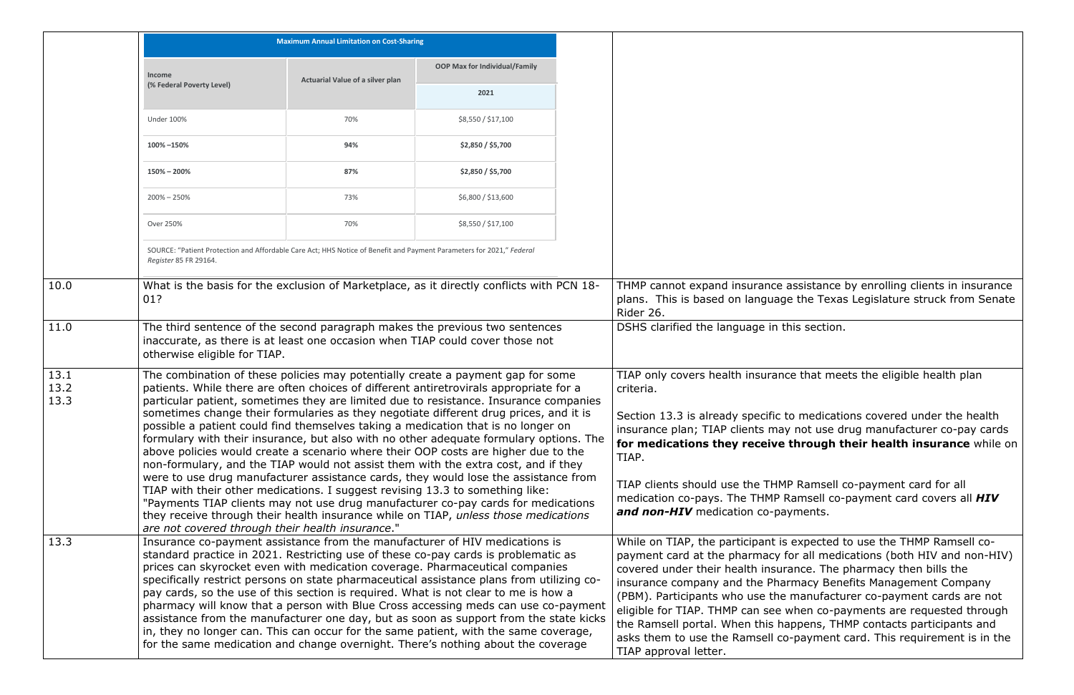|                      |                                                                                                                                                                                                                                                                                                                                                                                                                                                                                                                                                                                                                                                                                                                                                                                                  | <b>Maximum Annual Limitation on Cost-Sharing</b> |                                                                                                                                                                                                                                                                                                                                                                                                                                                  |  |                                                                                                                                                                                                                                                                                                            |
|----------------------|--------------------------------------------------------------------------------------------------------------------------------------------------------------------------------------------------------------------------------------------------------------------------------------------------------------------------------------------------------------------------------------------------------------------------------------------------------------------------------------------------------------------------------------------------------------------------------------------------------------------------------------------------------------------------------------------------------------------------------------------------------------------------------------------------|--------------------------------------------------|--------------------------------------------------------------------------------------------------------------------------------------------------------------------------------------------------------------------------------------------------------------------------------------------------------------------------------------------------------------------------------------------------------------------------------------------------|--|------------------------------------------------------------------------------------------------------------------------------------------------------------------------------------------------------------------------------------------------------------------------------------------------------------|
|                      | <b>Income</b>                                                                                                                                                                                                                                                                                                                                                                                                                                                                                                                                                                                                                                                                                                                                                                                    | Actuarial Value of a silver plan                 | <b>OOP Max for Individual/Family</b>                                                                                                                                                                                                                                                                                                                                                                                                             |  |                                                                                                                                                                                                                                                                                                            |
|                      | (% Federal Poverty Level)                                                                                                                                                                                                                                                                                                                                                                                                                                                                                                                                                                                                                                                                                                                                                                        |                                                  | 2021                                                                                                                                                                                                                                                                                                                                                                                                                                             |  |                                                                                                                                                                                                                                                                                                            |
|                      | <b>Under 100%</b>                                                                                                                                                                                                                                                                                                                                                                                                                                                                                                                                                                                                                                                                                                                                                                                | 70%                                              | \$8,550 / \$17,100                                                                                                                                                                                                                                                                                                                                                                                                                               |  |                                                                                                                                                                                                                                                                                                            |
|                      | 100% -150%                                                                                                                                                                                                                                                                                                                                                                                                                                                                                                                                                                                                                                                                                                                                                                                       | 94%                                              | \$2,850 / \$5,700                                                                                                                                                                                                                                                                                                                                                                                                                                |  |                                                                                                                                                                                                                                                                                                            |
|                      | $150\% - 200\%$                                                                                                                                                                                                                                                                                                                                                                                                                                                                                                                                                                                                                                                                                                                                                                                  | 87%                                              | \$2,850 / \$5,700                                                                                                                                                                                                                                                                                                                                                                                                                                |  |                                                                                                                                                                                                                                                                                                            |
|                      | $200\% - 250\%$                                                                                                                                                                                                                                                                                                                                                                                                                                                                                                                                                                                                                                                                                                                                                                                  | 73%                                              | \$6,800 / \$13,600                                                                                                                                                                                                                                                                                                                                                                                                                               |  |                                                                                                                                                                                                                                                                                                            |
|                      | Over 250%                                                                                                                                                                                                                                                                                                                                                                                                                                                                                                                                                                                                                                                                                                                                                                                        | 70%                                              | \$8,550 / \$17,100                                                                                                                                                                                                                                                                                                                                                                                                                               |  |                                                                                                                                                                                                                                                                                                            |
|                      | SOURCE: "Patient Protection and Affordable Care Act; HHS Notice of Benefit and Payment Parameters for 2021," Federal<br>Register 85 FR 29164.                                                                                                                                                                                                                                                                                                                                                                                                                                                                                                                                                                                                                                                    |                                                  |                                                                                                                                                                                                                                                                                                                                                                                                                                                  |  |                                                                                                                                                                                                                                                                                                            |
| 10.0                 | 01?                                                                                                                                                                                                                                                                                                                                                                                                                                                                                                                                                                                                                                                                                                                                                                                              |                                                  | What is the basis for the exclusion of Marketplace, as it directly conflicts with PCN 18-                                                                                                                                                                                                                                                                                                                                                        |  | THMP cannot expand insurance<br>plans. This is based on languad<br>Rider 26.                                                                                                                                                                                                                               |
| 11.0                 | otherwise eligible for TIAP.                                                                                                                                                                                                                                                                                                                                                                                                                                                                                                                                                                                                                                                                                                                                                                     |                                                  | The third sentence of the second paragraph makes the previous two sentences<br>inaccurate, as there is at least one occasion when TIAP could cover those not                                                                                                                                                                                                                                                                                     |  | DSHS clarified the language in t                                                                                                                                                                                                                                                                           |
| 13.1<br>13.2<br>13.3 | The combination of these policies may potentially create a payment gap for some<br>patients. While there are often choices of different antiretrovirals appropriate for a<br>particular patient, sometimes they are limited due to resistance. Insurance companies                                                                                                                                                                                                                                                                                                                                                                                                                                                                                                                               |                                                  |                                                                                                                                                                                                                                                                                                                                                                                                                                                  |  | TIAP only covers health insuran<br>criteria.                                                                                                                                                                                                                                                               |
|                      |                                                                                                                                                                                                                                                                                                                                                                                                                                                                                                                                                                                                                                                                                                                                                                                                  |                                                  | sometimes change their formularies as they negotiate different drug prices, and it is<br>possible a patient could find themselves taking a medication that is no longer on<br>formulary with their insurance, but also with no other adequate formulary options. The<br>above policies would create a scenario where their OOP costs are higher due to the<br>non-formulary, and the TIAP would not assist them with the extra cost, and if they |  | Section 13.3 is already specific<br>insurance plan; TIAP clients ma<br>for medications they receive<br>TIAP.                                                                                                                                                                                               |
|                      | are not covered through their health insurance."                                                                                                                                                                                                                                                                                                                                                                                                                                                                                                                                                                                                                                                                                                                                                 |                                                  | were to use drug manufacturer assistance cards, they would lose the assistance from<br>TIAP with their other medications. I suggest revising 13.3 to something like:<br>"Payments TIAP clients may not use drug manufacturer co-pay cards for medications<br>they receive through their health insurance while on TIAP, unless those medications                                                                                                 |  | TIAP clients should use the THM<br>medication co-pays. The THMP<br>and non-HIV medication co-pa                                                                                                                                                                                                            |
| 13.3                 | Insurance co-payment assistance from the manufacturer of HIV medications is<br>standard practice in 2021. Restricting use of these co-pay cards is problematic as<br>prices can skyrocket even with medication coverage. Pharmaceutical companies<br>specifically restrict persons on state pharmaceutical assistance plans from utilizing co-<br>pay cards, so the use of this section is required. What is not clear to me is how a<br>pharmacy will know that a person with Blue Cross accessing meds can use co-payment<br>assistance from the manufacturer one day, but as soon as support from the state kicks<br>in, they no longer can. This can occur for the same patient, with the same coverage,<br>for the same medication and change overnight. There's nothing about the coverage |                                                  |                                                                                                                                                                                                                                                                                                                                                                                                                                                  |  | While on TIAP, the participant is<br>payment card at the pharmacy<br>covered under their health insu<br>insurance company and the Pha<br>(PBM). Participants who use the<br>eligible for TIAP. THMP can see<br>the Ramsell portal. When this h<br>asks them to use the Ramsell co<br>TIAP approval letter. |

assistance by enrolling clients in insurance ge the Texas Legislature struck from Senate

this section.

Ince that meets the eligible health plan

to medications covered under the health iy not use drug manufacturer co-pay cards **through their health insurance** while on

MP Ramsell co-payment card for all Ramsell co-payment card covers all **HIV** ayments.

is expected to use the THMP Ramsell cofor all medications (both HIV and non-HIV) irance. The pharmacy then bills the armacy Benefits Management Company e manufacturer co-payment cards are not when co-payments are requested through appens, THMP contacts participants and co-payment card. This requirement is in the